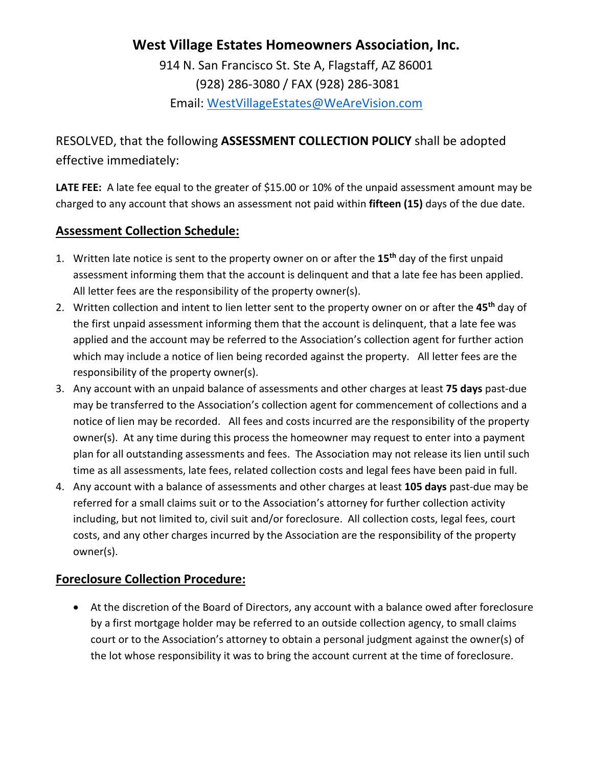# **West Village Estates Homeowners Association, Inc.**

914 N. San Francisco St. Ste A, Flagstaff, AZ 86001 (928) 286-3080 / FAX (928) 286-3081 Email: [WestVillageEstates@WeAreVision.com](mailto:WestVillageEstates@WeAreVision.com)

RESOLVED, that the following **ASSESSMENT COLLECTION POLICY** shall be adopted effective immediately:

LATE FEE: A late fee equal to the greater of \$15.00 or 10% of the unpaid assessment amount may be charged to any account that shows an assessment not paid within **fifteen (15)** days of the due date.

### **Assessment Collection Schedule:**

- 1. Written late notice is sent to the property owner on or after the **15th** day of the first unpaid assessment informing them that the account is delinquent and that a late fee has been applied. All letter fees are the responsibility of the property owner(s).
- 2. Written collection and intent to lien letter sent to the property owner on or after the **45th** day of the first unpaid assessment informing them that the account is delinquent, that a late fee was applied and the account may be referred to the Association's collection agent for further action which may include a notice of lien being recorded against the property. All letter fees are the responsibility of the property owner(s).
- 3. Any account with an unpaid balance of assessments and other charges at least **75 days** past-due may be transferred to the Association's collection agent for commencement of collections and a notice of lien may be recorded. All fees and costs incurred are the responsibility of the property owner(s). At any time during this process the homeowner may request to enter into a payment plan for all outstanding assessments and fees. The Association may not release its lien until such time as all assessments, late fees, related collection costs and legal fees have been paid in full.
- 4. Any account with a balance of assessments and other charges at least **105 days** past-due may be referred for a small claims suit or to the Association's attorney for further collection activity including, but not limited to, civil suit and/or foreclosure. All collection costs, legal fees, court costs, and any other charges incurred by the Association are the responsibility of the property owner(s).

## **Foreclosure Collection Procedure:**

• At the discretion of the Board of Directors, any account with a balance owed after foreclosure by a first mortgage holder may be referred to an outside collection agency, to small claims court or to the Association's attorney to obtain a personal judgment against the owner(s) of the lot whose responsibility it was to bring the account current at the time of foreclosure.